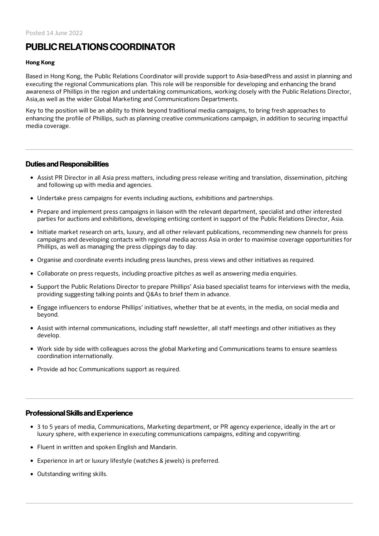# PUBLICRELATIONSCOORDINATOR

#### Hong Kong

Based in Hong Kong, the Public Relations Coordinator will provide support to Asia-basedPress and assist in planning and executing the regional Communications plan. This role will be responsible for developing and enhancing the brand awareness of Phillips in the region and undertaking communications, working closely with the Public Relations Director, Asia,as well as the wider Global Marketing and Communications Departments.

Key to the position will be an ability to think beyond traditional media campaigns, to bring fresh approaches to enhancing the profile of Phillips, such as planning creative communications campaign, in addition to securing impactful media coverage.

#### Duties and Responsibilities

- Assist PR Director in all Asia press matters, including press release writing and translation, dissemination, pitching and following up with media and agencies.
- Undertake press campaigns for events including auctions, exhibitions and partnerships.
- Prepare and implement press campaigns in liaison with the relevant department, specialist and other interested parties for auctions and exhibitions, developing enticing content in support of the Public Relations Director, Asia.
- Initiate market research on arts, luxury, and all other relevant publications, recommending new channels for press campaigns and developing contacts with regional media across Asia in order to maximise coverage opportunities for Phillips, as well as managing the press clippings day to day.
- Organise and coordinate events including press launches, press views and other initiatives as required.
- Collaborate on press requests, including proactive pitches as well as answering media enquiries.
- Support the Public Relations Director to prepare Phillips' Asia based specialist teams for interviews with the media, providing suggesting talking points and Q&As to brief them in advance.
- Engage influencers to endorse Phillips' initiatives, whether that be at events, in the media, on social media and beyond.
- Assist with internal communications, including staff newsletter, all staff meetings and other initiatives as they develop.
- Work side by side with colleagues across the global Marketing and Communications teams to ensure seamless coordination internationally.
- Provide ad hoc Communications support as required.

#### ProfessionalSkills and Experience

- 3 to 5 years of media, Communications, Marketing department, or PR agency experience, ideally in the art or luxury sphere, with experience in executing communications campaigns, editing and copywriting.
- Fluent in written and spoken English and Mandarin.
- Experience in art or luxury lifestyle (watches & jewels) is preferred.
- Outstanding writing skills.